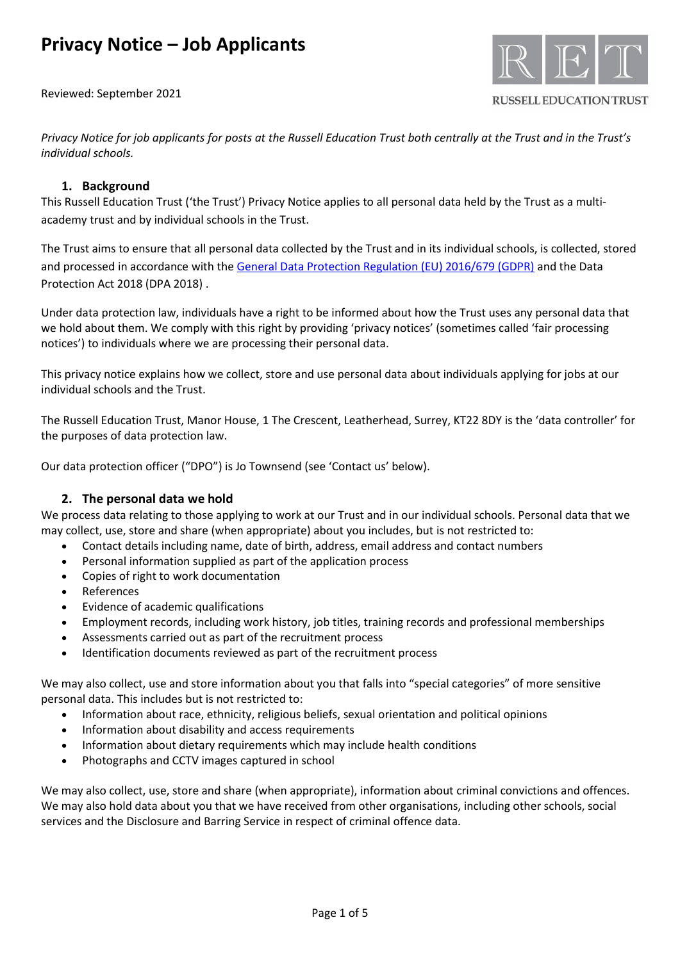Reviewed: September 2021



**RUSSELL EDUCATION TRUST** 

*Privacy Notice for job applicants for posts at the Russell Education Trust both centrally at the Trust and in the Trust's individual schools.*

## **1. Background**

This Russell Education Trust ('the Trust') Privacy Notice applies to all personal data held by the Trust as a multiacademy trust and by individual schools in the Trust.

The Trust aims to ensure that all personal data collected by the Trust and in its individual schools, is collected, stored and processed in accordance with th[e General Data Protection Regulation \(EU\) 2016/679 \(GDPR\)](http://data.consilium.europa.eu/doc/document/ST-5419-2016-INIT/en/pdf) and the Data Protection Act 2018 (DPA 2018) .

Under data protection law, individuals have a right to be informed about how the Trust uses any personal data that we hold about them. We comply with this right by providing 'privacy notices' (sometimes called 'fair processing notices') to individuals where we are processing their personal data.

This privacy notice explains how we collect, store and use personal data about individuals applying for jobs at our individual schools and the Trust.

The Russell Education Trust, Manor House, 1 The Crescent, Leatherhead, Surrey, KT22 8DY is the 'data controller' for the purposes of data protection law.

Our data protection officer ("DPO") is Jo Townsend (see 'Contact us' below).

## **2. The personal data we hold**

We process data relating to those applying to work at our Trust and in our individual schools. Personal data that we may collect, use, store and share (when appropriate) about you includes, but is not restricted to:

- Contact details including name, date of birth, address, email address and contact numbers
- Personal information supplied as part of the application process
- Copies of right to work documentation
- **References**
- Evidence of academic qualifications
- Employment records, including work history, job titles, training records and professional memberships
- Assessments carried out as part of the recruitment process
- Identification documents reviewed as part of the recruitment process

We may also collect, use and store information about you that falls into "special categories" of more sensitive personal data. This includes but is not restricted to:

- Information about race, ethnicity, religious beliefs, sexual orientation and political opinions
- Information about disability and access requirements
- Information about dietary requirements which may include health conditions
- Photographs and CCTV images captured in school

We may also collect, use, store and share (when appropriate), information about criminal convictions and offences. We may also hold data about you that we have received from other organisations, including other schools, social services and the Disclosure and Barring Service in respect of criminal offence data.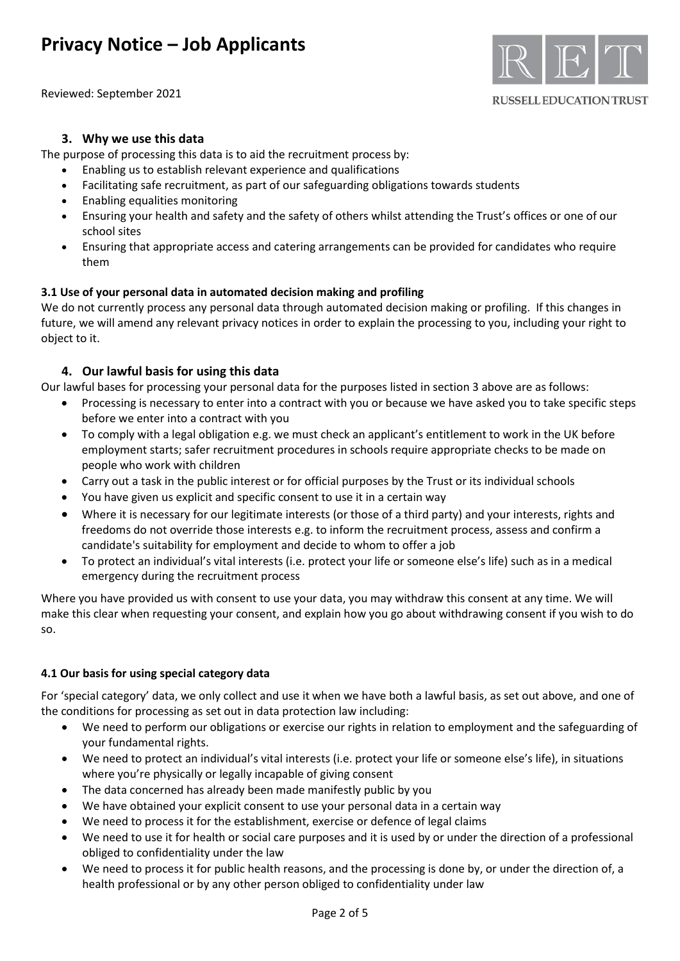Reviewed: September 2021



#### **RUSSELL EDUCATION TRUST**

## **3. Why we use this data**

The purpose of processing this data is to aid the recruitment process by:

- Enabling us to establish relevant experience and qualifications
- Facilitating safe recruitment, as part of our safeguarding obligations towards students
- Enabling equalities monitoring
- Ensuring your health and safety and the safety of others whilst attending the Trust's offices or one of our school sites
- Ensuring that appropriate access and catering arrangements can be provided for candidates who require them

### **3.1 Use of your personal data in automated decision making and profiling**

We do not currently process any personal data through automated decision making or profiling. If this changes in future, we will amend any relevant privacy notices in order to explain the processing to you, including your right to object to it.

## **4. Our lawful basis for using this data**

Our lawful bases for processing your personal data for the purposes listed in section 3 above are as follows:

- Processing is necessary to enter into a contract with you or because we have asked you to take specific steps before we enter into a contract with you
- To comply with a legal obligation e.g. we must check an applicant's entitlement to work in the UK before employment starts; safer recruitment procedures in schools require appropriate checks to be made on people who work with children
- Carry out a task in the public interest or for official purposes by the Trust or its individual schools
- You have given us explicit and specific consent to use it in a certain way
- Where it is necessary for our legitimate interests (or those of a third party) and your interests, rights and freedoms do not override those interests e.g. to inform the recruitment process, assess and confirm a candidate's suitability for employment and decide to whom to offer a job
- To protect an individual's vital interests (i.e. protect your life or someone else's life) such as in a medical emergency during the recruitment process

Where you have provided us with consent to use your data, you may withdraw this consent at any time. We will make this clear when requesting your consent, and explain how you go about withdrawing consent if you wish to do so.

### **4.1 Our basis for using special category data**

For 'special category' data, we only collect and use it when we have both a lawful basis, as set out above, and one of the conditions for processing as set out in data protection law including:

- We need to perform our obligations or exercise our rights in relation to employment and the safeguarding of your fundamental rights.
- We need to protect an individual's vital interests (i.e. protect your life or someone else's life), in situations where you're physically or legally incapable of giving consent
- The data concerned has already been made manifestly public by you
- We have obtained your explicit consent to use your personal data in a certain way
- We need to process it for the establishment, exercise or defence of legal claims
- We need to use it for health or social care purposes and it is used by or under the direction of a professional obliged to confidentiality under the law
- We need to process it for public health reasons, and the processing is done by, or under the direction of, a health professional or by any other person obliged to confidentiality under law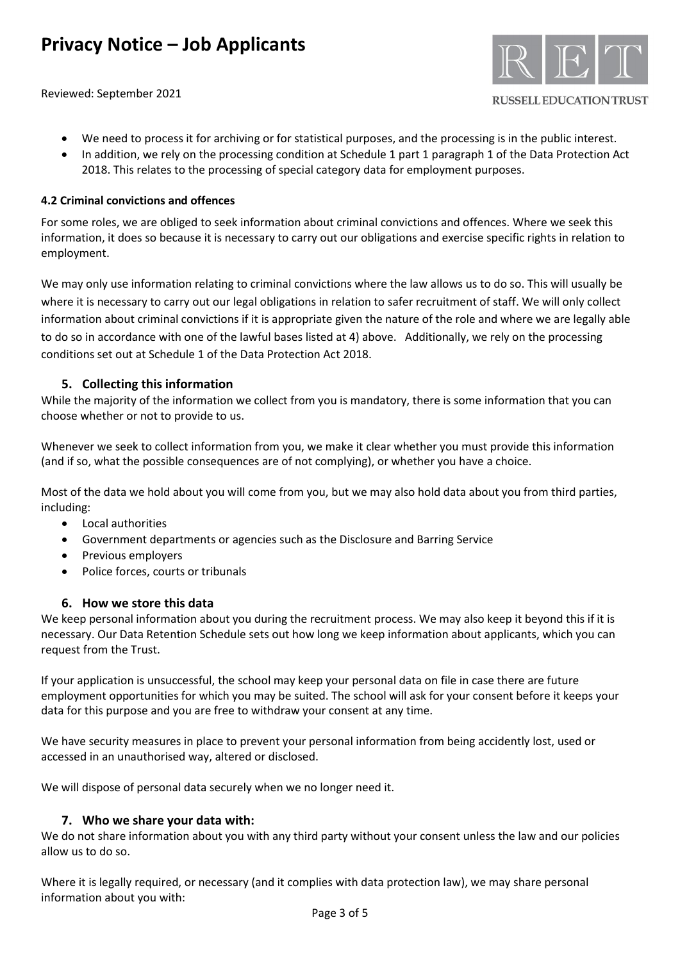Reviewed: September 2021



#### **RUSSELL EDUCATION TRUST**

- We need to process it for archiving or for statistical purposes, and the processing is in the public interest.
- In addition, we rely on the processing condition at Schedule 1 part 1 paragraph 1 of the Data Protection Act 2018. This relates to the processing of special category data for employment purposes.

### **4.2 Criminal convictions and offences**

For some roles, we are obliged to seek information about criminal convictions and offences. Where we seek this information, it does so because it is necessary to carry out our obligations and exercise specific rights in relation to employment.

We may only use information relating to criminal convictions where the law allows us to do so. This will usually be where it is necessary to carry out our legal obligations in relation to safer recruitment of staff. We will only collect information about criminal convictions if it is appropriate given the nature of the role and where we are legally able to do so in accordance with one of the lawful bases listed at 4) above. Additionally, we rely on the processing conditions set out at Schedule 1 of the Data Protection Act 2018.

## **5. Collecting this information**

While the majority of the information we collect from you is mandatory, there is some information that you can choose whether or not to provide to us.

Whenever we seek to collect information from you, we make it clear whether you must provide this information (and if so, what the possible consequences are of not complying), or whether you have a choice.

Most of the data we hold about you will come from you, but we may also hold data about you from third parties, including:

- Local authorities
- Government departments or agencies such as the Disclosure and Barring Service
- Previous employers
- Police forces, courts or tribunals

### **6. How we store this data**

We keep personal information about you during the recruitment process. We may also keep it beyond this if it is necessary. Our Data Retention Schedule sets out how long we keep information about applicants, which you can request from the Trust.

If your application is unsuccessful, the school may keep your personal data on file in case there are future employment opportunities for which you may be suited. The school will ask for your consent before it keeps your data for this purpose and you are free to withdraw your consent at any time.

We have security measures in place to prevent your personal information from being accidently lost, used or accessed in an unauthorised way, altered or disclosed.

We will dispose of personal data securely when we no longer need it.

### **7. Who we share your data with:**

We do not share information about you with any third party without your consent unless the law and our policies allow us to do so.

Where it is legally required, or necessary (and it complies with data protection law), we may share personal information about you with: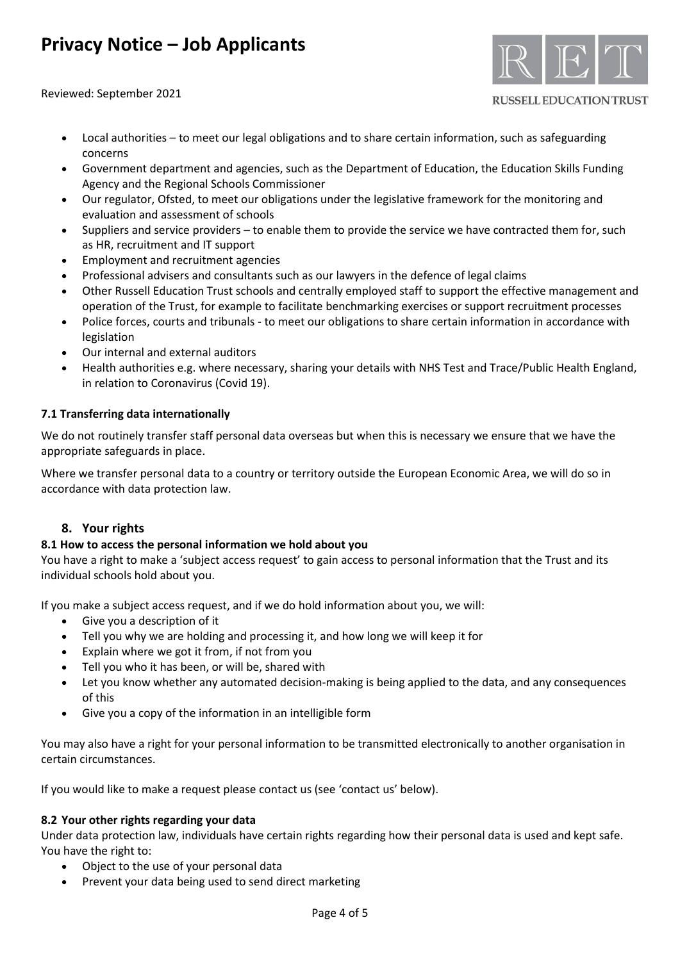Reviewed: September 2021



#### **RUSSELL EDUCATION TRUST**

- Local authorities to meet our legal obligations and to share certain information, such as safeguarding concerns
- Government department and agencies, such as the Department of Education, the Education Skills Funding Agency and the Regional Schools Commissioner
- Our regulator, Ofsted, to meet our obligations under the legislative framework for the monitoring and evaluation and assessment of schools
- Suppliers and service providers to enable them to provide the service we have contracted them for, such as HR, recruitment and IT support
- Employment and recruitment agencies
- Professional advisers and consultants such as our lawyers in the defence of legal claims
- Other Russell Education Trust schools and centrally employed staff to support the effective management and operation of the Trust, for example to facilitate benchmarking exercises or support recruitment processes
- Police forces, courts and tribunals to meet our obligations to share certain information in accordance with legislation
- Our internal and external auditors
- Health authorities e.g. where necessary, sharing your details with NHS Test and Trace/Public Health England, in relation to Coronavirus (Covid 19).

## **7.1 Transferring data internationally**

We do not routinely transfer staff personal data overseas but when this is necessary we ensure that we have the appropriate safeguards in place.

Where we transfer personal data to a country or territory outside the European Economic Area, we will do so in accordance with data protection law.

## **8. Your rights**

### **8.1 How to access the personal information we hold about you**

You have a right to make a 'subject access request' to gain access to personal information that the Trust and its individual schools hold about you.

If you make a subject access request, and if we do hold information about you, we will:

- Give you a description of it
- Tell you why we are holding and processing it, and how long we will keep it for
- Explain where we got it from, if not from you
- Tell you who it has been, or will be, shared with
- Let you know whether any automated decision-making is being applied to the data, and any consequences of this
- Give you a copy of the information in an intelligible form

You may also have a right for your personal information to be transmitted electronically to another organisation in certain circumstances.

If you would like to make a request please contact us (see 'contact us' below).

### **8.2 Your other rights regarding your data**

Under data protection law, individuals have certain rights regarding how their personal data is used and kept safe. You have the right to:

- Object to the use of your personal data
- Prevent your data being used to send direct marketing